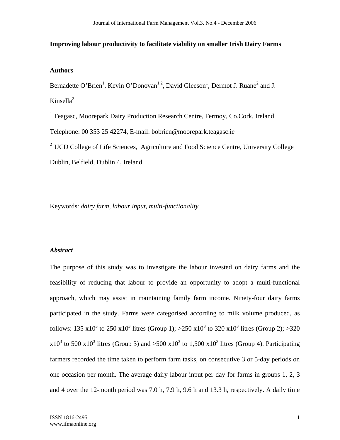## **Improving labour productivity to facilitate viability on smaller Irish Dairy Farms**

# **Authors**

Bernadette O'Brien<sup>1</sup>, Kevin O'Donovan<sup>1,2</sup>, David Gleeson<sup>1</sup>, Dermot J. Ruane<sup>2</sup> and J. Kinsella $2$ 

<sup>1</sup> Teagasc, Moorepark Dairy Production Research Centre, Fermoy, Co.Cork, Ireland Telephone: 00 353 25 42274, E-mail: bobrien@moorepark.teagasc.ie

<sup>2</sup> UCD College of Life Sciences, Agriculture and Food Science Centre, University College Dublin, Belfield, Dublin 4, Ireland

Keywords: *dairy farm, labour input, multi-functionality* 

## *Abstract*

The purpose of this study was to investigate the labour invested on dairy farms and the feasibility of reducing that labour to provide an opportunity to adopt a multi-functional approach, which may assist in maintaining family farm income. Ninety-four dairy farms participated in the study. Farms were categorised according to milk volume produced, as follows: 135 x10<sup>3</sup> to 250 x10<sup>3</sup> litres (Group 1); >250 x10<sup>3</sup> to 320 x10<sup>3</sup> litres (Group 2); >320  $x10<sup>3</sup>$  to 500  $x10<sup>3</sup>$  litres (Group 3) and >500  $x10<sup>3</sup>$  to 1,500  $x10<sup>3</sup>$  litres (Group 4). Participating farmers recorded the time taken to perform farm tasks, on consecutive 3 or 5-day periods on one occasion per month. The average dairy labour input per day for farms in groups 1, 2, 3 and 4 over the 12-month period was 7.0 h, 7.9 h, 9.6 h and 13.3 h, respectively. A daily time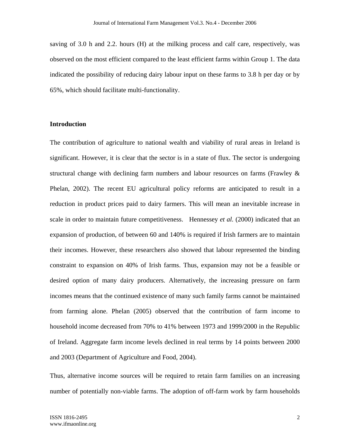saving of 3.0 h and 2.2. hours (H) at the milking process and calf care, respectively, was observed on the most efficient compared to the least efficient farms within Group 1. The data indicated the possibility of reducing dairy labour input on these farms to 3.8 h per day or by 65%, which should facilitate multi-functionality.

## **Introduction**

The contribution of agriculture to national wealth and viability of rural areas in Ireland is significant. However, it is clear that the sector is in a state of flux. The sector is undergoing structural change with declining farm numbers and labour resources on farms (Frawley  $\&$ Phelan, 2002). The recent EU agricultural policy reforms are anticipated to result in a reduction in product prices paid to dairy farmers. This will mean an inevitable increase in scale in order to maintain future competitiveness. Hennessey *et al.* (2000) indicated that an expansion of production, of between 60 and 140% is required if Irish farmers are to maintain their incomes. However, these researchers also showed that labour represented the binding constraint to expansion on 40% of Irish farms. Thus, expansion may not be a feasible or desired option of many dairy producers. Alternatively, the increasing pressure on farm incomes means that the continued existence of many such family farms cannot be maintained from farming alone. Phelan (2005) observed that the contribution of farm income to household income decreased from 70% to 41% between 1973 and 1999/2000 in the Republic of Ireland. Aggregate farm income levels declined in real terms by 14 points between 2000 and 2003 (Department of Agriculture and Food, 2004).

Thus, alternative income sources will be required to retain farm families on an increasing number of potentially non-viable farms. The adoption of off-farm work by farm households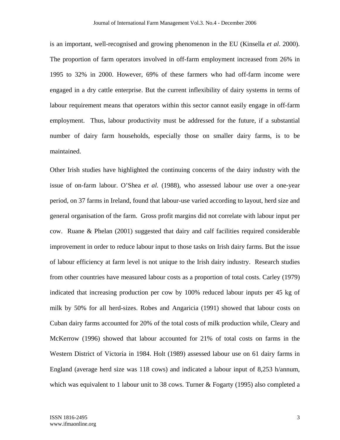is an important, well-recognised and growing phenomenon in the EU (Kinsella *et al*. 2000). The proportion of farm operators involved in off-farm employment increased from 26% in 1995 to 32% in 2000. However, 69% of these farmers who had off-farm income were engaged in a dry cattle enterprise. But the current inflexibility of dairy systems in terms of labour requirement means that operators within this sector cannot easily engage in off-farm employment. Thus, labour productivity must be addressed for the future, if a substantial number of dairy farm households, especially those on smaller dairy farms, is to be maintained.

Other Irish studies have highlighted the continuing concerns of the dairy industry with the issue of on-farm labour. O'Shea *et al.* (1988), who assessed labour use over a one-year period, on 37 farms in Ireland, found that labour-use varied according to layout, herd size and general organisation of the farm. Gross profit margins did not correlate with labour input per cow. Ruane & Phelan (2001) suggested that dairy and calf facilities required considerable improvement in order to reduce labour input to those tasks on Irish dairy farms. But the issue of labour efficiency at farm level is not unique to the Irish dairy industry. Research studies from other countries have measured labour costs as a proportion of total costs. Carley (1979) indicated that increasing production per cow by 100% reduced labour inputs per 45 kg of milk by 50% for all herd-sizes. Robes and Angaricia (1991) showed that labour costs on Cuban dairy farms accounted for 20% of the total costs of milk production while, Cleary and McKerrow (1996) showed that labour accounted for 21% of total costs on farms in the Western District of Victoria in 1984. Holt (1989) assessed labour use on 61 dairy farms in England (average herd size was 118 cows) and indicated a labour input of 8,253 h/annum, which was equivalent to 1 labour unit to 38 cows. Turner & Fogarty (1995) also completed a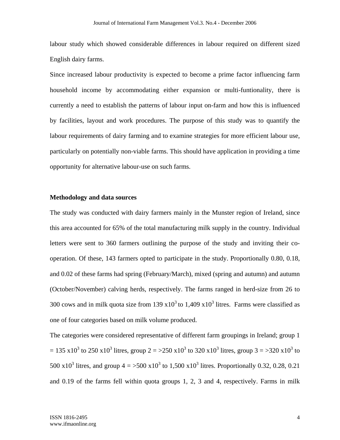labour study which showed considerable differences in labour required on different sized English dairy farms.

Since increased labour productivity is expected to become a prime factor influencing farm household income by accommodating either expansion or multi-funtionality, there is currently a need to establish the patterns of labour input on-farm and how this is influenced by facilities, layout and work procedures. The purpose of this study was to quantify the labour requirements of dairy farming and to examine strategies for more efficient labour use, particularly on potentially non-viable farms. This should have application in providing a time opportunity for alternative labour-use on such farms.

### **Methodology and data sources**

The study was conducted with dairy farmers mainly in the Munster region of Ireland, since this area accounted for 65% of the total manufacturing milk supply in the country. Individual letters were sent to 360 farmers outlining the purpose of the study and inviting their cooperation. Of these, 143 farmers opted to participate in the study. Proportionally 0.80, 0.18, and 0.02 of these farms had spring (February/March), mixed (spring and autumn) and autumn (October/November) calving herds, respectively. The farms ranged in herd-size from 26 to 300 cows and in milk quota size from 139  $x10<sup>3</sup>$  to 1,409  $x10<sup>3</sup>$  litres. Farms were classified as one of four categories based on milk volume produced.

The categories were considered representative of different farm groupings in Ireland; group 1 = 135 x10<sup>3</sup> to 250 x10<sup>3</sup> litres, group 2 = >250 x10<sup>3</sup> to 320 x10<sup>3</sup> litres, group 3 = >320 x10<sup>3</sup> to 500 x10<sup>3</sup> litres, and group  $4 = 500 \times 10^3$  to 1,500 x10<sup>3</sup> litres. Proportionally 0.32, 0.28, 0.21 and 0.19 of the farms fell within quota groups 1, 2, 3 and 4, respectively. Farms in milk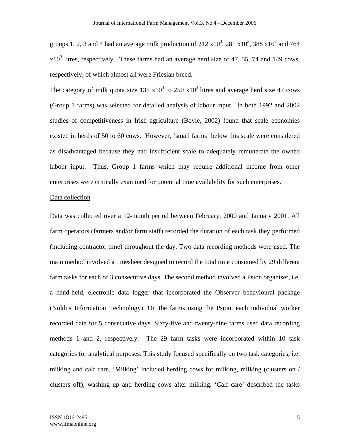groups 1, 2, 3 and 4 had an average milk production of  $212 \times 10^3$ ,  $281 \times 10^3$ ,  $388 \times 10^3$  and  $764$  $x10<sup>3</sup>$  litres, respectively. These farms had an average herd size of 47, 55, 74 and 149 cows, respectively, of which almost all were Friesian breed.

The category of milk quota size 135  $x10^3$  to 250  $x10^3$  litres and average herd size 47 cows (Group 1 farms) was selected for detailed analysis of labour input. In both 1992 and 2002 studies of competitiveness in Irish agriculture (Boyle, 2002) found that scale economies existed in herds of 50 to 60 cows. However, 'small farms' below this scale were considered as disadvantaged because they had insufficient scale to adequately remunerate the owned labour input. Thus, Group 1 farms which may require additional income from other enterprises were critically examined for potential time availability for such enterprises.

### Data collection

Data was collected over a 12-month period between February, 2000 and January 2001. All farm operators (farmers and/or farm staff) recorded the duration of each task they performed (including contractor time) throughout the day. Two data recording methods were used. The main method involved a timesheet designed to record the total time consumed by 29 different farm tasks for each of 3 consecutive days. The second method involved a Psion organiser, i.e. a hand-held, electronic data logger that incorporated the Observer behavioural package (Noldus Information Technology). On the farms using the Psion, each individual worker recorded data for 5 consecutive days. Sixty-five and twenty-nine farms used data recording methods 1 and 2, respectively. The 29 farm tasks were incorporated within 10 task categories for analytical purposes. This study focused specifically on two task categories, i.e. milking and calf care. 'Milking' included herding cows for milking, milking (clusters on / clusters off), washing up and herding cows after milking. 'Calf care' described the tasks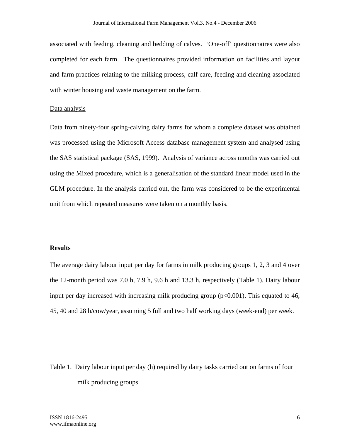associated with feeding, cleaning and bedding of calves. 'One-off' questionnaires were also completed for each farm. The questionnaires provided information on facilities and layout and farm practices relating to the milking process, calf care, feeding and cleaning associated with winter housing and waste management on the farm.

#### Data analysis

Data from ninety-four spring-calving dairy farms for whom a complete dataset was obtained was processed using the Microsoft Access database management system and analysed using the SAS statistical package (SAS, 1999). Analysis of variance across months was carried out using the Mixed procedure, which is a generalisation of the standard linear model used in the GLM procedure. In the analysis carried out, the farm was considered to be the experimental unit from which repeated measures were taken on a monthly basis.

## **Results**

The average dairy labour input per day for farms in milk producing groups 1, 2, 3 and 4 over the 12-month period was 7.0 h, 7.9 h, 9.6 h and 13.3 h, respectively (Table 1). Dairy labour input per day increased with increasing milk producing group  $(p<0.001)$ . This equated to 46, 45, 40 and 28 h/cow/year, assuming 5 full and two half working days (week-end) per week.

Table 1. Dairy labour input per day (h) required by dairy tasks carried out on farms of four milk producing groups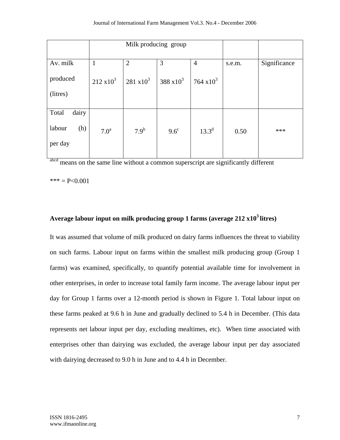|                          | Milk producing group |                   |                   |                   |        |              |
|--------------------------|----------------------|-------------------|-------------------|-------------------|--------|--------------|
|                          |                      |                   |                   |                   |        |              |
| Av. milk                 | $\mathbf{1}$         | $\overline{2}$    | 3                 | $\overline{4}$    | s.e.m. | Significance |
| produced                 | $212 \times 10^3$    | $281 \times 10^3$ | $388 \times 10^3$ | $764 \times 10^3$ |        |              |
| (litres)                 |                      |                   |                   |                   |        |              |
| dairy<br>Total           |                      |                   |                   |                   |        |              |
| labour<br>(h)<br>per day | 7.0 <sup>a</sup>     | 7.9 <sup>b</sup>  | $9.6^{\circ}$     | $13.3^{d}$        | 0.50   | ***          |

abcd means on the same line without a common superscript are significantly different

 $*** = P<0.001$ 

# **Average labour input on milk producing group 1 farms (average 212 x103 litres)**

It was assumed that volume of milk produced on dairy farms influences the threat to viability on such farms. Labour input on farms within the smallest milk producing group (Group 1 farms) was examined, specifically, to quantify potential available time for involvement in other enterprises, in order to increase total family farm income. The average labour input per day for Group 1 farms over a 12-month period is shown in Figure 1. Total labour input on these farms peaked at 9.6 h in June and gradually declined to 5.4 h in December. (This data represents net labour input per day, excluding mealtimes, etc). When time associated with enterprises other than dairying was excluded, the average labour input per day associated with dairying decreased to 9.0 h in June and to 4.4 h in December.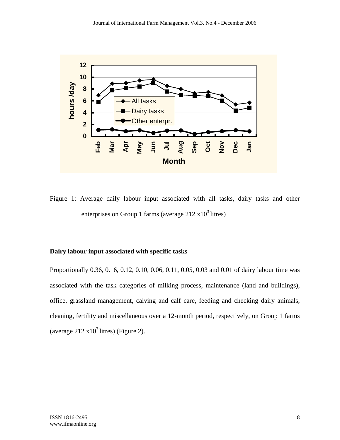

Figure 1: Average daily labour input associated with all tasks, dairy tasks and other enterprises on Group 1 farms (average  $212 \times 10^3$  litres)

# **Dairy labour input associated with specific tasks**

Proportionally 0.36, 0.16, 0.12, 0.10, 0.06, 0.11, 0.05, 0.03 and 0.01 of dairy labour time was associated with the task categories of milking process, maintenance (land and buildings), office, grassland management, calving and calf care, feeding and checking dairy animals, cleaning, fertility and miscellaneous over a 12-month period, respectively, on Group 1 farms (average  $212 \times 10^3$  litres) (Figure 2).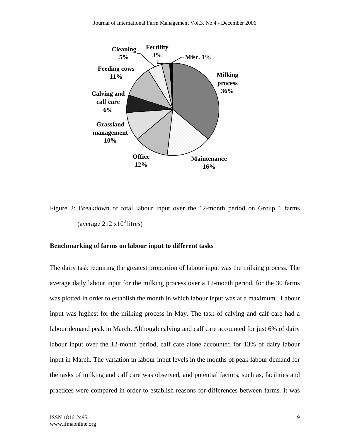

Figure 2: Breakdown of total labour input over the 12-month period on Group 1 farms (average  $212 \times 10^3$  litres)

## **Benchmarking of farms on labour input to different tasks**

The dairy task requiring the greatest proportion of labour input was the milking process. The average daily labour input for the milking process over a 12-month period, for the 30 farms was plotted in order to establish the month in which labour input was at a maximum. Labour input was highest for the milking process in May. The task of calving and calf care had a labour demand peak in March. Although calving and calf care accounted for just 6% of dairy labour input over the 12-month period, calf care alone accounted for 13% of dairy labour input in March. The variation in labour input levels in the months of peak labour demand for the tasks of milking and calf care was observed, and potential factors, such as, facilities and practices were compared in order to establish reasons for differences between farms. It was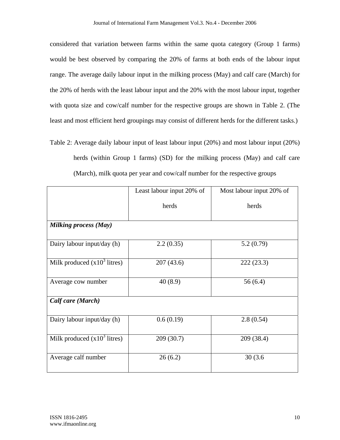considered that variation between farms within the same quota category (Group 1 farms) would be best observed by comparing the 20% of farms at both ends of the labour input range. The average daily labour input in the milking process (May) and calf care (March) for the 20% of herds with the least labour input and the 20% with the most labour input, together with quota size and cow/calf number for the respective groups are shown in Table 2. (The least and most efficient herd groupings may consist of different herds for the different tasks.)

Table 2: Average daily labour input of least labour input (20%) and most labour input (20%) herds (within Group 1 farms) (SD) for the milking process (May) and calf care (March), milk quota per year and cow/calf number for the respective groups

|                                | Least labour input 20% of | Most labour input 20% of |  |  |  |
|--------------------------------|---------------------------|--------------------------|--|--|--|
|                                | herds                     | herds                    |  |  |  |
| <b>Milking process (May)</b>   |                           |                          |  |  |  |
| Dairy labour input/day (h)     | 2.2(0.35)                 | 5.2(0.79)                |  |  |  |
| Milk produced $(x10^3$ litres) | 207(43.6)                 | 222(23.3)                |  |  |  |
| Average cow number             | 40(8.9)                   | 56(6.4)                  |  |  |  |
| Calf care (March)              |                           |                          |  |  |  |
| Dairy labour input/day (h)     | 0.6(0.19)                 | 2.8(0.54)                |  |  |  |
| Milk produced $(x10^3$ litres) | 209(30.7)                 | 209 (38.4)               |  |  |  |
| Average calf number            | 26(6.2)                   | 30(3.6)                  |  |  |  |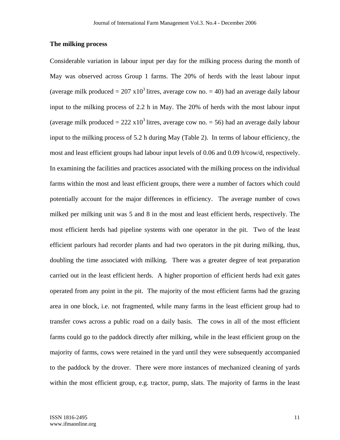## **The milking process**

Considerable variation in labour input per day for the milking process during the month of May was observed across Group 1 farms. The 20% of herds with the least labour input (average milk produced =  $207 \times 10^3$  litres, average cow no. = 40) had an average daily labour input to the milking process of 2.2 h in May. The 20% of herds with the most labour input (average milk produced =  $222 \times 10^3$  litres, average cow no. = 56) had an average daily labour input to the milking process of 5.2 h during May (Table 2). In terms of labour efficiency, the most and least efficient groups had labour input levels of 0.06 and 0.09 h/cow/d, respectively. In examining the facilities and practices associated with the milking process on the individual farms within the most and least efficient groups, there were a number of factors which could potentially account for the major differences in efficiency. The average number of cows milked per milking unit was 5 and 8 in the most and least efficient herds, respectively. The most efficient herds had pipeline systems with one operator in the pit. Two of the least efficient parlours had recorder plants and had two operators in the pit during milking, thus, doubling the time associated with milking. There was a greater degree of teat preparation carried out in the least efficient herds. A higher proportion of efficient herds had exit gates operated from any point in the pit. The majority of the most efficient farms had the grazing area in one block, i.e. not fragmented, while many farms in the least efficient group had to transfer cows across a public road on a daily basis. The cows in all of the most efficient farms could go to the paddock directly after milking, while in the least efficient group on the majority of farms, cows were retained in the yard until they were subsequently accompanied to the paddock by the drover. There were more instances of mechanized cleaning of yards within the most efficient group, e.g. tractor, pump, slats. The majority of farms in the least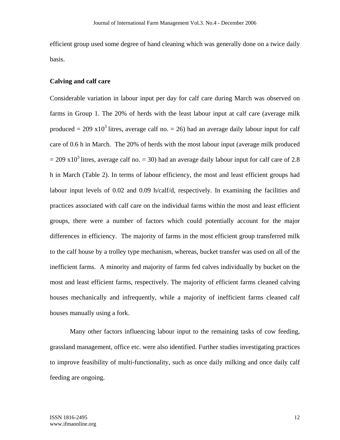efficient group used some degree of hand cleaning which was generally done on a twice daily basis.

## **Calving and calf care**

Considerable variation in labour input per day for calf care during March was observed on farms in Group 1. The 20% of herds with the least labour input at calf care (average milk produced =  $209 \times 10^3$  litres, average calf no. = 26) had an average daily labour input for calf care of 0.6 h in March. The 20% of herds with the most labour input (average milk produced  $= 209 \times 10^3$  litres, average calf no.  $= 30$ ) had an average daily labour input for calf care of 2.8 h in March (Table 2). In terms of labour efficiency, the most and least efficient groups had labour input levels of 0.02 and 0.09 h/calf/d, respectively. In examining the facilities and practices associated with calf care on the individual farms within the most and least efficient groups, there were a number of factors which could potentially account for the major differences in efficiency. The majority of farms in the most efficient group transferred milk to the calf house by a trolley type mechanism, whereas, bucket transfer was used on all of the inefficient farms. A minority and majority of farms fed calves individually by bucket on the most and least efficient farms, respectively. The majority of efficient farms cleaned calving houses mechanically and infrequently, while a majority of inefficient farms cleaned calf houses manually using a fork.

Many other factors influencing labour input to the remaining tasks of cow feeding, grassland management, office etc. were also identified. Further studies investigating practices to improve feasibility of multi-functionality, such as once daily milking and once daily calf feeding are ongoing.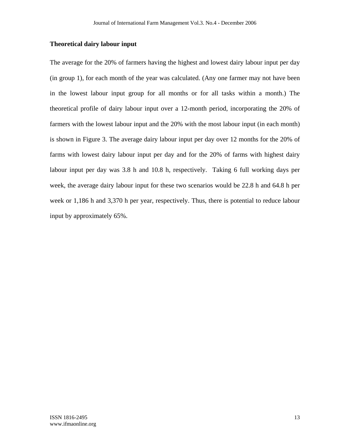# **Theoretical dairy labour input**

The average for the 20% of farmers having the highest and lowest dairy labour input per day (in group 1), for each month of the year was calculated. (Any one farmer may not have been in the lowest labour input group for all months or for all tasks within a month.) The theoretical profile of dairy labour input over a 12-month period, incorporating the 20% of farmers with the lowest labour input and the 20% with the most labour input (in each month) is shown in Figure 3. The average dairy labour input per day over 12 months for the 20% of farms with lowest dairy labour input per day and for the 20% of farms with highest dairy labour input per day was 3.8 h and 10.8 h, respectively. Taking 6 full working days per week, the average dairy labour input for these two scenarios would be 22.8 h and 64.8 h per week or 1,186 h and 3,370 h per year, respectively. Thus, there is potential to reduce labour input by approximately 65%.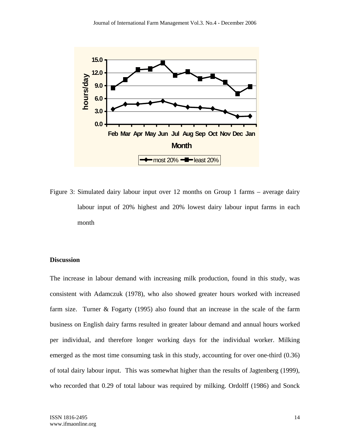

Figure 3: Simulated dairy labour input over 12 months on Group 1 farms – average dairy labour input of 20% highest and 20% lowest dairy labour input farms in each month

# **Discussion**

The increase in labour demand with increasing milk production, found in this study, was consistent with Adamczuk (1978), who also showed greater hours worked with increased farm size. Turner & Fogarty (1995) also found that an increase in the scale of the farm business on English dairy farms resulted in greater labour demand and annual hours worked per individual, and therefore longer working days for the individual worker. Milking emerged as the most time consuming task in this study, accounting for over one-third (0.36) of total dairy labour input. This was somewhat higher than the results of Jagtenberg (1999), who recorded that 0.29 of total labour was required by milking. Ordolff (1986) and Sonck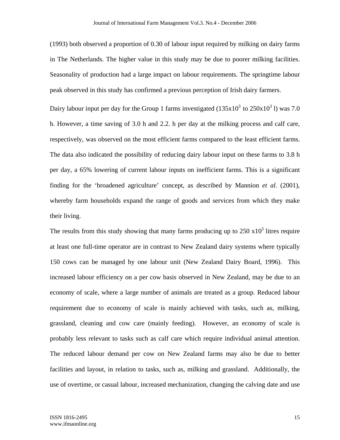(1993) both observed a proportion of 0.30 of labour input required by milking on dairy farms in The Netherlands. The higher value in this study may be due to poorer milking facilities. Seasonality of production had a large impact on labour requirements. The springtime labour peak observed in this study has confirmed a previous perception of Irish dairy farmers.

Dairy labour input per day for the Group 1 farms investigated  $(135x10^3$  to  $250x10^3$  l) was 7.0 h. However, a time saving of 3.0 h and 2.2. h per day at the milking process and calf care, respectively, was observed on the most efficient farms compared to the least efficient farms. The data also indicated the possibility of reducing dairy labour input on these farms to 3.8 h per day, a 65% lowering of current labour inputs on inefficient farms. This is a significant finding for the 'broadened agriculture' concept, as described by Mannion *et al*. (2001), whereby farm households expand the range of goods and services from which they make their living.

The results from this study showing that many farms producing up to  $250 \times 10^3$  litres require at least one full-time operator are in contrast to New Zealand dairy systems where typically 150 cows can be managed by one labour unit (New Zealand Dairy Board, 1996). This increased labour efficiency on a per cow basis observed in New Zealand, may be due to an economy of scale, where a large number of animals are treated as a group. Reduced labour requirement due to economy of scale is mainly achieved with tasks, such as, milking, grassland, cleaning and cow care (mainly feeding). However, an economy of scale is probably less relevant to tasks such as calf care which require individual animal attention. The reduced labour demand per cow on New Zealand farms may also be due to better facilities and layout, in relation to tasks, such as, milking and grassland. Additionally, the use of overtime, or casual labour, increased mechanization, changing the calving date and use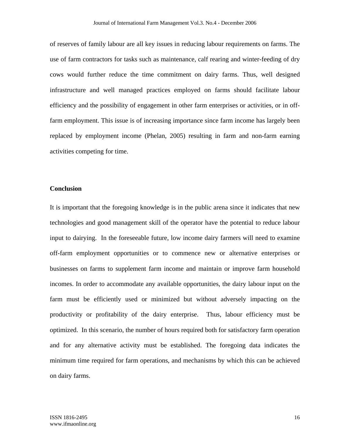of reserves of family labour are all key issues in reducing labour requirements on farms. The use of farm contractors for tasks such as maintenance, calf rearing and winter-feeding of dry cows would further reduce the time commitment on dairy farms. Thus, well designed infrastructure and well managed practices employed on farms should facilitate labour efficiency and the possibility of engagement in other farm enterprises or activities, or in offfarm employment. This issue is of increasing importance since farm income has largely been replaced by employment income (Phelan, 2005) resulting in farm and non-farm earning activities competing for time.

## **Conclusion**

It is important that the foregoing knowledge is in the public arena since it indicates that new technologies and good management skill of the operator have the potential to reduce labour input to dairying. In the foreseeable future, low income dairy farmers will need to examine off-farm employment opportunities or to commence new or alternative enterprises or businesses on farms to supplement farm income and maintain or improve farm household incomes. In order to accommodate any available opportunities, the dairy labour input on the farm must be efficiently used or minimized but without adversely impacting on the productivity or profitability of the dairy enterprise. Thus, labour efficiency must be optimized. In this scenario, the number of hours required both for satisfactory farm operation and for any alternative activity must be established. The foregoing data indicates the minimum time required for farm operations, and mechanisms by which this can be achieved on dairy farms.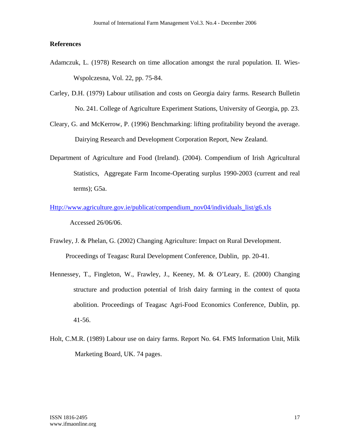## **References**

- Adamczuk, L. (1978) Research on time allocation amongst the rural population. II. Wies-Wspolczesna, Vol. 22, pp. 75-84.
- Carley, D.H. (1979) Labour utilisation and costs on Georgia dairy farms. Research Bulletin No. 241. College of Agriculture Experiment Stations, University of Georgia, pp. 23.
- Cleary, G. and McKerrow, P. (1996) Benchmarking: lifting profitability beyond the average. Dairying Research and Development Corporation Report, New Zealand.
- Department of Agriculture and Food (Ireland). (2004). Compendium of Irish Agricultural Statistics, Aggregate Farm Income-Operating surplus 1990-2003 (current and real terms); G5a.
- Http://www.agriculture.gov.ie/publicat/compendium\_nov04/individuals\_list/g6.xls Accessed 26/06/06.
- Frawley, J. & Phelan, G. (2002) Changing Agriculture: Impact on Rural Development. Proceedings of Teagasc Rural Development Conference, Dublin, pp. 20-41.
- Hennessey, T., Fingleton, W., Frawley, J., Keeney, M. & O'Leary, E. (2000) Changing structure and production potential of Irish dairy farming in the context of quota abolition. Proceedings of Teagasc Agri-Food Economics Conference, Dublin, pp. 41-56.
- Holt, C.M.R. (1989) Labour use on dairy farms. Report No. 64. FMS Information Unit, Milk Marketing Board, UK. 74 pages.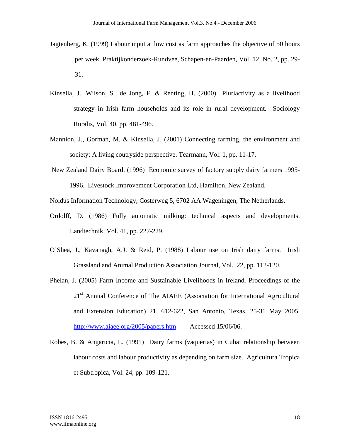- Jagtenberg, K. (1999) Labour input at low cost as farm approaches the objective of 50 hours per week. Praktijkonderzoek-Rundvee, Schapen-en-Paarden, Vol. 12, No. 2, pp. 29- 31.
- Kinsella, J., Wilson, S., de Jong, F. & Renting, H. (2000) Pluriactivity as a livelihood strategy in Irish farm households and its role in rural development. Sociology Ruralis, Vol. 40, pp. 481-496.
- Mannion, J., Gorman, M. & Kinsella, J. (2001) Connecting farming, the environment and society: A living coutryside perspective. Tearmann, Vol. 1, pp. 11-17.
- New Zealand Dairy Board. (1996) Economic survey of factory supply dairy farmers 1995- 1996. Livestock Improvement Corporation Ltd, Hamilton, New Zealand.

Noldus Information Technology, Costerweg 5, 6702 AA Wageningen, The Netherlands.

- Ordolff, D. (1986) Fully automatic milking: technical aspects and developments. Landtechnik, Vol. 41, pp. 227-229.
- O'Shea, J., Kavanagh, A.J. & Reid, P. (1988) Labour use on Irish dairy farms. Irish Grassland and Animal Production Association Journal, Vol. 22, pp. 112-120.
- Phelan, J. (2005) Farm Income and Sustainable Livelihoods in Ireland. Proceedings of the 21<sup>st</sup> Annual Conference of The AIAEE (Association for International Agricultural and Extension Education) 21, 612-622, San Antonio, Texas, 25-31 May 2005. http://www.aiaee.org/2005/papers.htm Accessed 15/06/06.
- Robes, B. & Angaricia, L. (1991) Dairy farms (vaquerias) in Cuba: relationship between labour costs and labour productivity as depending on farm size. Agricultura Tropica et Subtropica, Vol. 24, pp. 109-121.